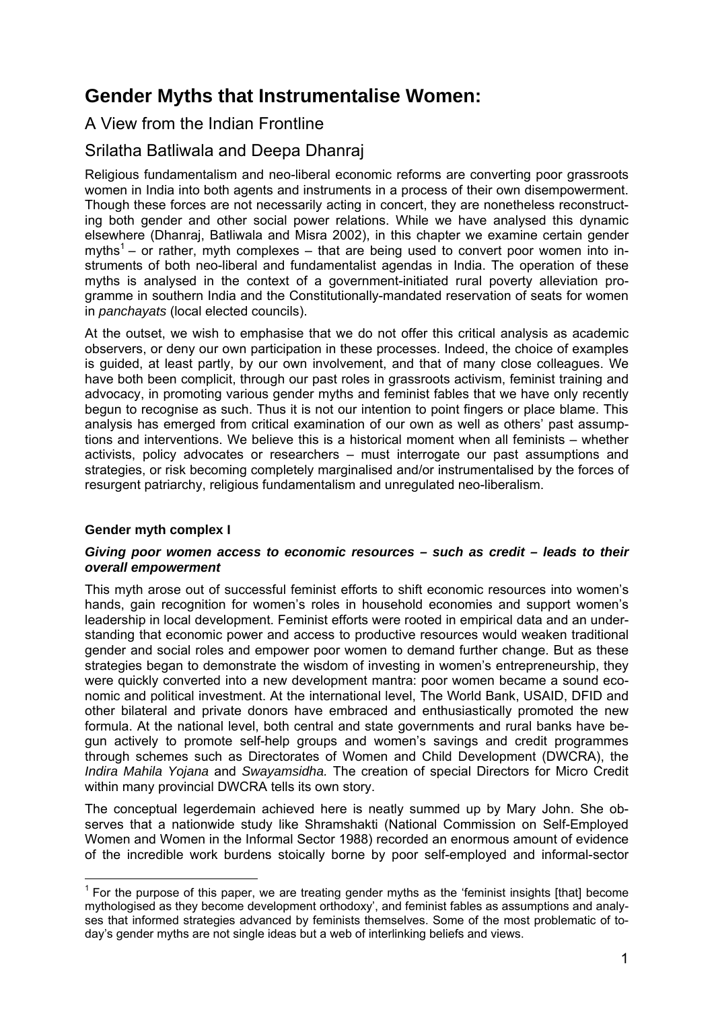# **Gender Myths that Instrumentalise Women:**

### A View from the Indian Frontline

## Srilatha Batliwala and Deepa Dhanraj

Religious fundamentalism and neo-liberal economic reforms are converting poor grassroots women in India into both agents and instruments in a process of their own disempowerment. Though these forces are not necessarily acting in concert, they are nonetheless reconstructing both gender and other social power relations. While we have analysed this dynamic elsewhere (Dhanraj, Batliwala and Misra 2002), in this chapter we examine certain gender myths<sup>1</sup> – or rather, myth complexes – that are being used to convert poor women into instruments of both neo-liberal and fundamentalist agendas in India. The operation of these myths is analysed in the context of a government-initiated rural poverty alleviation programme in southern India and the Constitutionally-mandated reservation of seats for women in *panchayats* (local elected councils).

At the outset, we wish to emphasise that we do not offer this critical analysis as academic observers, or deny our own participation in these processes. Indeed, the choice of examples is guided, at least partly, by our own involvement, and that of many close colleagues. We have both been complicit, through our past roles in grassroots activism, feminist training and advocacy, in promoting various gender myths and feminist fables that we have only recently begun to recognise as such. Thus it is not our intention to point fingers or place blame. This analysis has emerged from critical examination of our own as well as others' past assumptions and interventions. We believe this is a historical moment when all feminists – whether activists, policy advocates or researchers – must interrogate our past assumptions and strategies, or risk becoming completely marginalised and/or instrumentalised by the forces of resurgent patriarchy, religious fundamentalism and unregulated neo-liberalism.

### **Gender myth complex I**

1

#### *Giving poor women access to economic resources – such as credit – leads to their overall empowerment*

This myth arose out of successful feminist efforts to shift economic resources into women's hands, gain recognition for women's roles in household economies and support women's leadership in local development. Feminist efforts were rooted in empirical data and an understanding that economic power and access to productive resources would weaken traditional gender and social roles and empower poor women to demand further change. But as these strategies began to demonstrate the wisdom of investing in women's entrepreneurship, they were quickly converted into a new development mantra: poor women became a sound economic and political investment. At the international level, The World Bank, USAID, DFID and other bilateral and private donors have embraced and enthusiastically promoted the new formula. At the national level, both central and state governments and rural banks have begun actively to promote self-help groups and women's savings and credit programmes through schemes such as Directorates of Women and Child Development (DWCRA), the *Indira Mahila Yojana* and *Swayamsidha.* The creation of special Directors for Micro Credit within many provincial DWCRA tells its own story.

The conceptual legerdemain achieved here is neatly summed up by Mary John. She observes that a nationwide study like Shramshakti (National Commission on Self-Employed Women and Women in the Informal Sector 1988) recorded an enormous amount of evidence of the incredible work burdens stoically borne by poor self-employed and informal-sector

 $1$  For the purpose of this paper, we are treating gender myths as the 'feminist insights [that] become mythologised as they become development orthodoxy', and feminist fables as assumptions and analyses that informed strategies advanced by feminists themselves. Some of the most problematic of today's gender myths are not single ideas but a web of interlinking beliefs and views.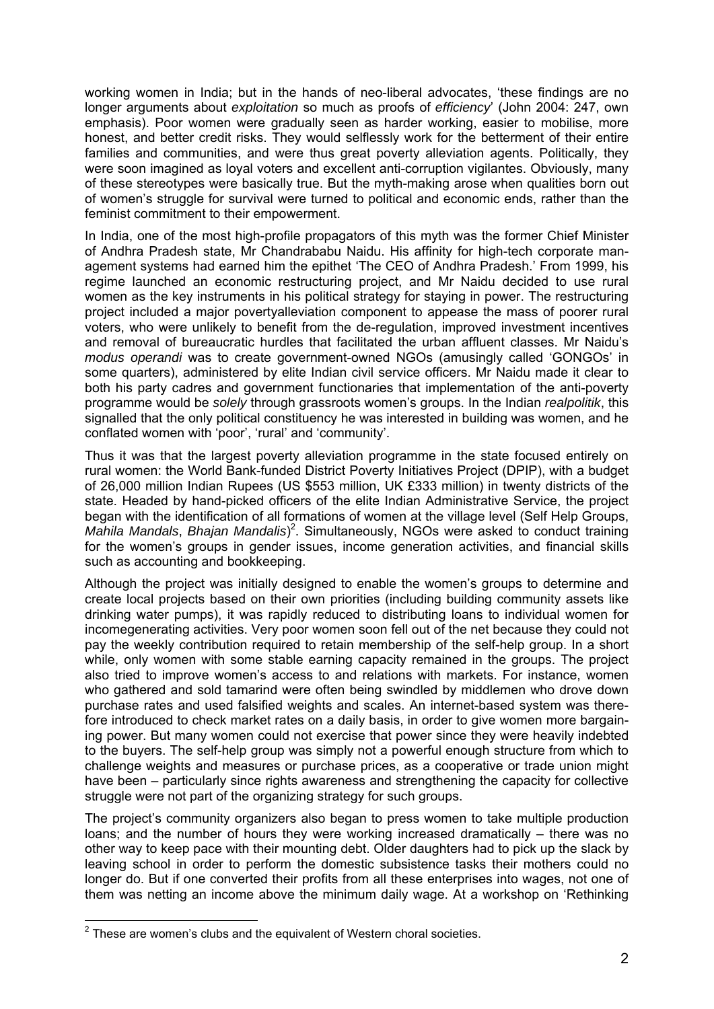working women in India; but in the hands of neo-liberal advocates, 'these findings are no longer arguments about *exploitation* so much as proofs of *efficiency*' (John 2004: 247, own emphasis). Poor women were gradually seen as harder working, easier to mobilise, more honest, and better credit risks. They would selflessly work for the betterment of their entire families and communities, and were thus great poverty alleviation agents. Politically, they were soon imagined as loyal voters and excellent anti-corruption vigilantes. Obviously, many of these stereotypes were basically true. But the myth-making arose when qualities born out of women's struggle for survival were turned to political and economic ends, rather than the feminist commitment to their empowerment.

In India, one of the most high-profile propagators of this myth was the former Chief Minister of Andhra Pradesh state, Mr Chandrababu Naidu. His affinity for high-tech corporate management systems had earned him the epithet 'The CEO of Andhra Pradesh.' From 1999, his regime launched an economic restructuring project, and Mr Naidu decided to use rural women as the key instruments in his political strategy for staying in power. The restructuring project included a major povertyalleviation component to appease the mass of poorer rural voters, who were unlikely to benefit from the de-regulation, improved investment incentives and removal of bureaucratic hurdles that facilitated the urban affluent classes. Mr Naidu's *modus operandi* was to create government-owned NGOs (amusingly called 'GONGOs' in some quarters), administered by elite Indian civil service officers. Mr Naidu made it clear to both his party cadres and government functionaries that implementation of the anti-poverty programme would be *solely* through grassroots women's groups. In the Indian *realpolitik*, this signalled that the only political constituency he was interested in building was women, and he conflated women with 'poor', 'rural' and 'community'.

Thus it was that the largest poverty alleviation programme in the state focused entirely on rural women: the World Bank-funded District Poverty Initiatives Project (DPIP), with a budget of 26,000 million Indian Rupees (US \$553 million, UK £333 million) in twenty districts of the state. Headed by hand-picked officers of the elite Indian Administrative Service, the project began with the identification of all formations of women at the village level (Self Help Groups, Mahila Mandals, Bhajan Mandalis)<sup>2</sup>. Simultaneously, NGOs were asked to conduct training for the women's groups in gender issues, income generation activities, and financial skills such as accounting and bookkeeping.

Although the project was initially designed to enable the women's groups to determine and create local projects based on their own priorities (including building community assets like drinking water pumps), it was rapidly reduced to distributing loans to individual women for incomegenerating activities. Very poor women soon fell out of the net because they could not pay the weekly contribution required to retain membership of the self-help group. In a short while, only women with some stable earning capacity remained in the groups. The project also tried to improve women's access to and relations with markets. For instance, women who gathered and sold tamarind were often being swindled by middlemen who drove down purchase rates and used falsified weights and scales. An internet-based system was therefore introduced to check market rates on a daily basis, in order to give women more bargaining power. But many women could not exercise that power since they were heavily indebted to the buyers. The self-help group was simply not a powerful enough structure from which to challenge weights and measures or purchase prices, as a cooperative or trade union might have been – particularly since rights awareness and strengthening the capacity for collective struggle were not part of the organizing strategy for such groups.

The project's community organizers also began to press women to take multiple production loans; and the number of hours they were working increased dramatically – there was no other way to keep pace with their mounting debt. Older daughters had to pick up the slack by leaving school in order to perform the domestic subsistence tasks their mothers could no longer do. But if one converted their profits from all these enterprises into wages, not one of them was netting an income above the minimum daily wage. At a workshop on 'Rethinking

<sup>1</sup>  $2$  These are women's clubs and the equivalent of Western choral societies.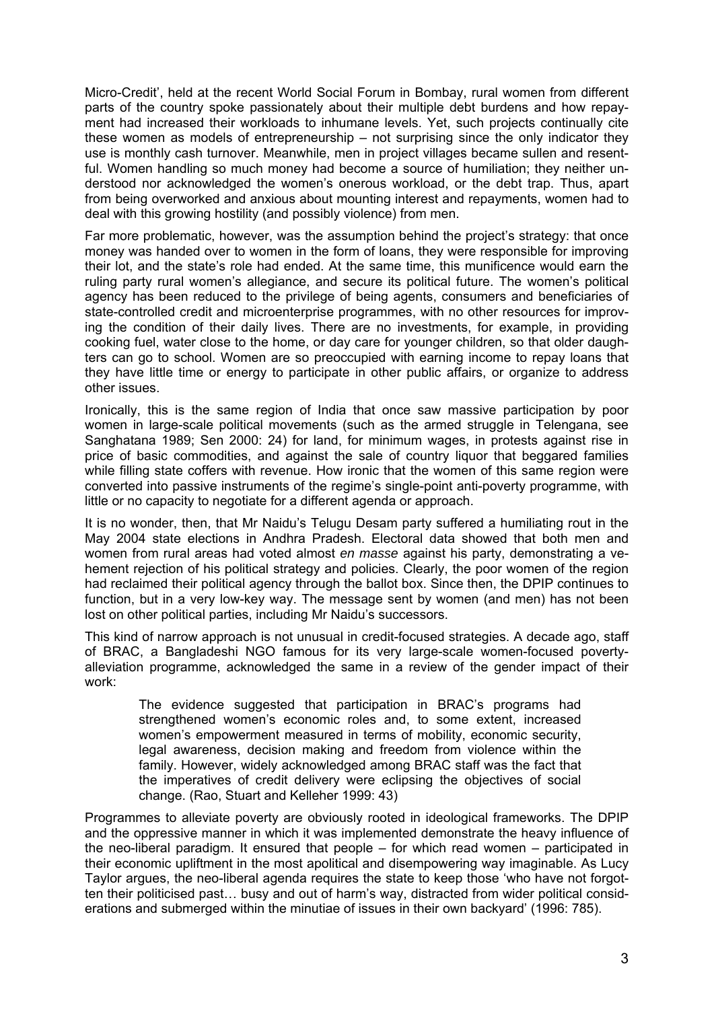Micro-Credit', held at the recent World Social Forum in Bombay, rural women from different parts of the country spoke passionately about their multiple debt burdens and how repayment had increased their workloads to inhumane levels. Yet, such projects continually cite these women as models of entrepreneurship – not surprising since the only indicator they use is monthly cash turnover. Meanwhile, men in project villages became sullen and resentful. Women handling so much money had become a source of humiliation; they neither understood nor acknowledged the women's onerous workload, or the debt trap. Thus, apart from being overworked and anxious about mounting interest and repayments, women had to deal with this growing hostility (and possibly violence) from men.

Far more problematic, however, was the assumption behind the project's strategy: that once money was handed over to women in the form of loans, they were responsible for improving their lot, and the state's role had ended. At the same time, this munificence would earn the ruling party rural women's allegiance, and secure its political future. The women's political agency has been reduced to the privilege of being agents, consumers and beneficiaries of state-controlled credit and microenterprise programmes, with no other resources for improving the condition of their daily lives. There are no investments, for example, in providing cooking fuel, water close to the home, or day care for younger children, so that older daughters can go to school. Women are so preoccupied with earning income to repay loans that they have little time or energy to participate in other public affairs, or organize to address other issues.

Ironically, this is the same region of India that once saw massive participation by poor women in large-scale political movements (such as the armed struggle in Telengana, see Sanghatana 1989; Sen 2000: 24) for land, for minimum wages, in protests against rise in price of basic commodities, and against the sale of country liquor that beggared families while filling state coffers with revenue. How ironic that the women of this same region were converted into passive instruments of the regime's single-point anti-poverty programme, with little or no capacity to negotiate for a different agenda or approach.

It is no wonder, then, that Mr Naidu's Telugu Desam party suffered a humiliating rout in the May 2004 state elections in Andhra Pradesh. Electoral data showed that both men and women from rural areas had voted almost *en masse* against his party, demonstrating a vehement rejection of his political strategy and policies. Clearly, the poor women of the region had reclaimed their political agency through the ballot box. Since then, the DPIP continues to function, but in a very low-key way. The message sent by women (and men) has not been lost on other political parties, including Mr Naidu's successors.

This kind of narrow approach is not unusual in credit-focused strategies. A decade ago, staff of BRAC, a Bangladeshi NGO famous for its very large-scale women-focused povertyalleviation programme, acknowledged the same in a review of the gender impact of their work:

The evidence suggested that participation in BRAC's programs had strengthened women's economic roles and, to some extent, increased women's empowerment measured in terms of mobility, economic security, legal awareness, decision making and freedom from violence within the family. However, widely acknowledged among BRAC staff was the fact that the imperatives of credit delivery were eclipsing the objectives of social change. (Rao, Stuart and Kelleher 1999: 43)

Programmes to alleviate poverty are obviously rooted in ideological frameworks. The DPIP and the oppressive manner in which it was implemented demonstrate the heavy influence of the neo-liberal paradigm. It ensured that people – for which read women – participated in their economic upliftment in the most apolitical and disempowering way imaginable. As Lucy Taylor argues, the neo-liberal agenda requires the state to keep those 'who have not forgotten their politicised past… busy and out of harm's way, distracted from wider political considerations and submerged within the minutiae of issues in their own backyard' (1996: 785).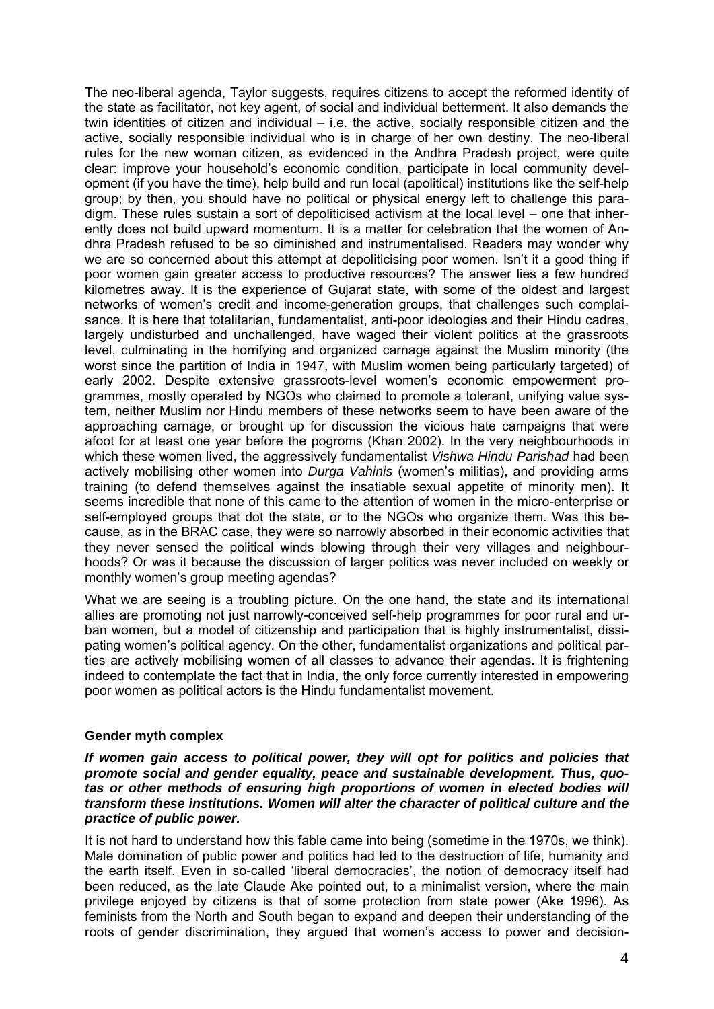The neo-liberal agenda, Taylor suggests, requires citizens to accept the reformed identity of the state as facilitator, not key agent, of social and individual betterment. It also demands the twin identities of citizen and individual – i.e. the active, socially responsible citizen and the active, socially responsible individual who is in charge of her own destiny. The neo-liberal rules for the new woman citizen, as evidenced in the Andhra Pradesh project, were quite clear: improve your household's economic condition, participate in local community development (if you have the time), help build and run local (apolitical) institutions like the self-help group; by then, you should have no political or physical energy left to challenge this paradigm. These rules sustain a sort of depoliticised activism at the local level – one that inherently does not build upward momentum. It is a matter for celebration that the women of Andhra Pradesh refused to be so diminished and instrumentalised. Readers may wonder why we are so concerned about this attempt at depoliticising poor women. Isn't it a good thing if poor women gain greater access to productive resources? The answer lies a few hundred kilometres away. It is the experience of Gujarat state, with some of the oldest and largest networks of women's credit and income-generation groups, that challenges such complaisance. It is here that totalitarian, fundamentalist, anti-poor ideologies and their Hindu cadres, largely undisturbed and unchallenged, have waged their violent politics at the grassroots level, culminating in the horrifying and organized carnage against the Muslim minority (the worst since the partition of India in 1947, with Muslim women being particularly targeted) of early 2002. Despite extensive grassroots-level women's economic empowerment programmes, mostly operated by NGOs who claimed to promote a tolerant, unifying value system, neither Muslim nor Hindu members of these networks seem to have been aware of the approaching carnage, or brought up for discussion the vicious hate campaigns that were afoot for at least one year before the pogroms (Khan 2002). In the very neighbourhoods in which these women lived, the aggressively fundamentalist *Vishwa Hindu Parishad* had been actively mobilising other women into *Durga Vahinis* (women's militias), and providing arms training (to defend themselves against the insatiable sexual appetite of minority men). It seems incredible that none of this came to the attention of women in the micro-enterprise or self-employed groups that dot the state, or to the NGOs who organize them. Was this because, as in the BRAC case, they were so narrowly absorbed in their economic activities that they never sensed the political winds blowing through their very villages and neighbourhoods? Or was it because the discussion of larger politics was never included on weekly or monthly women's group meeting agendas?

What we are seeing is a troubling picture. On the one hand, the state and its international allies are promoting not just narrowly-conceived self-help programmes for poor rural and urban women, but a model of citizenship and participation that is highly instrumentalist, dissipating women's political agency. On the other, fundamentalist organizations and political parties are actively mobilising women of all classes to advance their agendas. It is frightening indeed to contemplate the fact that in India, the only force currently interested in empowering poor women as political actors is the Hindu fundamentalist movement.

#### **Gender myth complex**

*If women gain access to political power, they will opt for politics and policies that promote social and gender equality, peace and sustainable development. Thus, quo*tas or other methods of ensuring high proportions of women in elected bodies will *transform these institutions. Women will alter the character of political culture and the practice of public power.* 

It is not hard to understand how this fable came into being (sometime in the 1970s, we think). Male domination of public power and politics had led to the destruction of life, humanity and the earth itself. Even in so-called 'liberal democracies', the notion of democracy itself had been reduced, as the late Claude Ake pointed out, to a minimalist version, where the main privilege enjoyed by citizens is that of some protection from state power (Ake 1996). As feminists from the North and South began to expand and deepen their understanding of the roots of gender discrimination, they argued that women's access to power and decision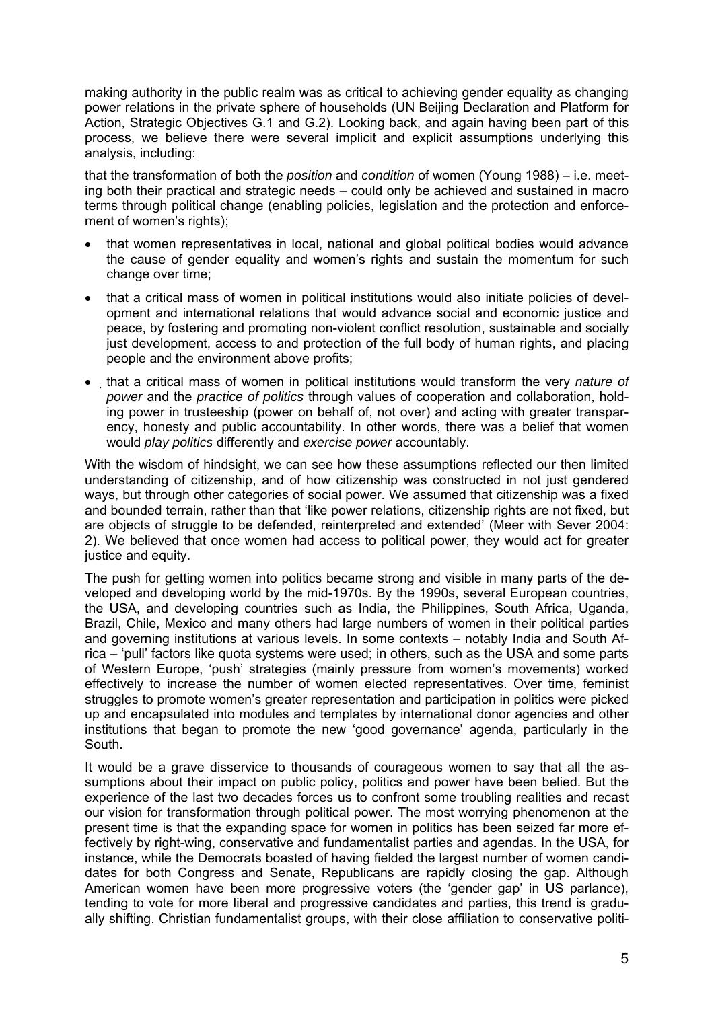making authority in the public realm was as critical to achieving gender equality as changing power relations in the private sphere of households (UN Beijing Declaration and Platform for Action, Strategic Objectives G.1 and G.2). Looking back, and again having been part of this process, we believe there were several implicit and explicit assumptions underlying this analysis, including:

that the transformation of both the *position* and *condition* of women (Young 1988) – i.e. meeting both their practical and strategic needs – could only be achieved and sustained in macro terms through political change (enabling policies, legislation and the protection and enforcement of women's rights);

- that women representatives in local, national and global political bodies would advance the cause of gender equality and women's rights and sustain the momentum for such change over time;
- that a critical mass of women in political institutions would also initiate policies of development and international relations that would advance social and economic justice and peace, by fostering and promoting non-violent conflict resolution, sustainable and socially just development, access to and protection of the full body of human rights, and placing people and the environment above profits;
- that a critical mass of women in political institutions would transform the very *nature of power* and the *practice of politics* through values of cooperation and collaboration, holding power in trusteeship (power on behalf of, not over) and acting with greater transparency, honesty and public accountability. In other words, there was a belief that women would *play politics* differently and *exercise power* accountably.

With the wisdom of hindsight, we can see how these assumptions reflected our then limited understanding of citizenship, and of how citizenship was constructed in not just gendered ways, but through other categories of social power. We assumed that citizenship was a fixed and bounded terrain, rather than that 'like power relations, citizenship rights are not fixed, but are objects of struggle to be defended, reinterpreted and extended' (Meer with Sever 2004: 2). We believed that once women had access to political power, they would act for greater justice and equity.

The push for getting women into politics became strong and visible in many parts of the developed and developing world by the mid-1970s. By the 1990s, several European countries, the USA, and developing countries such as India, the Philippines, South Africa, Uganda, Brazil, Chile, Mexico and many others had large numbers of women in their political parties and governing institutions at various levels. In some contexts – notably India and South Africa – 'pull' factors like quota systems were used; in others, such as the USA and some parts of Western Europe, 'push' strategies (mainly pressure from women's movements) worked effectively to increase the number of women elected representatives. Over time, feminist struggles to promote women's greater representation and participation in politics were picked up and encapsulated into modules and templates by international donor agencies and other institutions that began to promote the new 'good governance' agenda, particularly in the South.

It would be a grave disservice to thousands of courageous women to say that all the assumptions about their impact on public policy, politics and power have been belied. But the experience of the last two decades forces us to confront some troubling realities and recast our vision for transformation through political power. The most worrying phenomenon at the present time is that the expanding space for women in politics has been seized far more effectively by right-wing, conservative and fundamentalist parties and agendas. In the USA, for instance, while the Democrats boasted of having fielded the largest number of women candidates for both Congress and Senate, Republicans are rapidly closing the gap. Although American women have been more progressive voters (the 'gender gap' in US parlance), tending to vote for more liberal and progressive candidates and parties, this trend is gradually shifting. Christian fundamentalist groups, with their close affiliation to conservative politi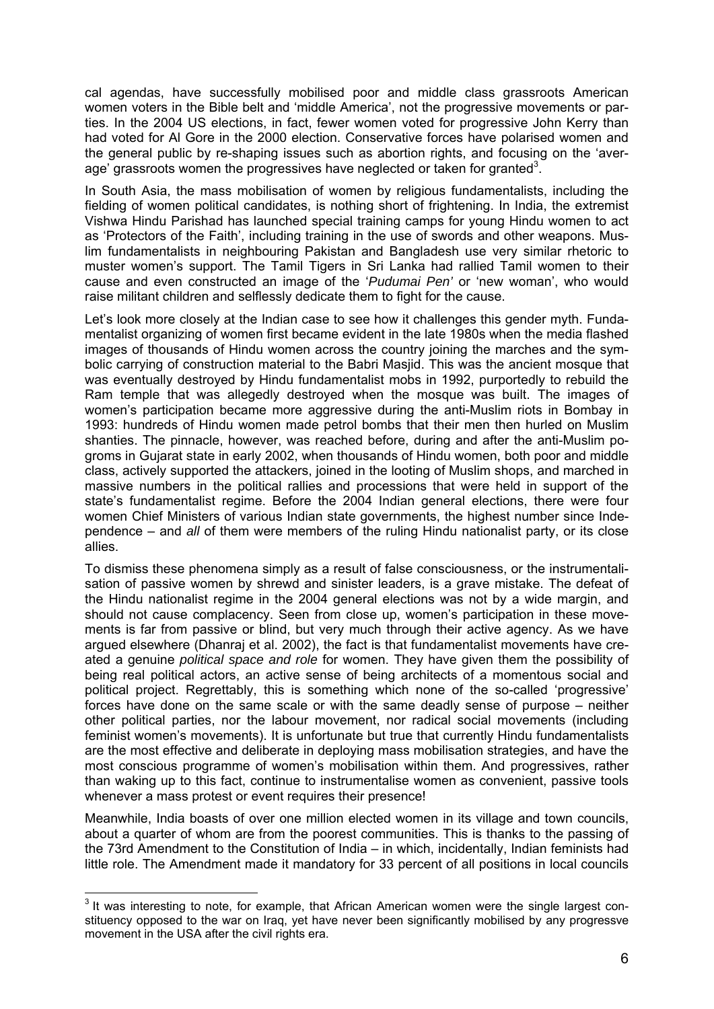cal agendas, have successfully mobilised poor and middle class grassroots American women voters in the Bible belt and 'middle America', not the progressive movements or parties. In the 2004 US elections, in fact, fewer women voted for progressive John Kerry than had voted for Al Gore in the 2000 election. Conservative forces have polarised women and the general public by re-shaping issues such as abortion rights, and focusing on the 'average' grassroots women the progressives have neglected or taken for granted<sup>3</sup>.

In South Asia, the mass mobilisation of women by religious fundamentalists, including the fielding of women political candidates, is nothing short of frightening. In India, the extremist Vishwa Hindu Parishad has launched special training camps for young Hindu women to act as 'Protectors of the Faith', including training in the use of swords and other weapons. Muslim fundamentalists in neighbouring Pakistan and Bangladesh use very similar rhetoric to muster women's support. The Tamil Tigers in Sri Lanka had rallied Tamil women to their cause and even constructed an image of the '*Pudumai Pen'* or 'new woman', who would raise militant children and selflessly dedicate them to fight for the cause.

Let's look more closely at the Indian case to see how it challenges this gender myth. Fundamentalist organizing of women first became evident in the late 1980s when the media flashed images of thousands of Hindu women across the country joining the marches and the symbolic carrying of construction material to the Babri Masjid. This was the ancient mosque that was eventually destroyed by Hindu fundamentalist mobs in 1992, purportedly to rebuild the Ram temple that was allegedly destroyed when the mosque was built. The images of women's participation became more aggressive during the anti-Muslim riots in Bombay in 1993: hundreds of Hindu women made petrol bombs that their men then hurled on Muslim shanties. The pinnacle, however, was reached before, during and after the anti-Muslim pogroms in Gujarat state in early 2002, when thousands of Hindu women, both poor and middle class, actively supported the attackers, joined in the looting of Muslim shops, and marched in massive numbers in the political rallies and processions that were held in support of the state's fundamentalist regime. Before the 2004 Indian general elections, there were four women Chief Ministers of various Indian state governments, the highest number since Independence – and *all* of them were members of the ruling Hindu nationalist party, or its close allies.

To dismiss these phenomena simply as a result of false consciousness, or the instrumentalisation of passive women by shrewd and sinister leaders, is a grave mistake. The defeat of the Hindu nationalist regime in the 2004 general elections was not by a wide margin, and should not cause complacency. Seen from close up, women's participation in these movements is far from passive or blind, but very much through their active agency. As we have argued elsewhere (Dhanraj et al. 2002), the fact is that fundamentalist movements have created a genuine *political space and role* for women. They have given them the possibility of being real political actors, an active sense of being architects of a momentous social and political project. Regrettably, this is something which none of the so-called 'progressive' forces have done on the same scale or with the same deadly sense of purpose – neither other political parties, nor the labour movement, nor radical social movements (including feminist women's movements). It is unfortunate but true that currently Hindu fundamentalists are the most effective and deliberate in deploying mass mobilisation strategies, and have the most conscious programme of women's mobilisation within them. And progressives, rather than waking up to this fact, continue to instrumentalise women as convenient, passive tools whenever a mass protest or event requires their presence!

Meanwhile, India boasts of over one million elected women in its village and town councils, about a quarter of whom are from the poorest communities. This is thanks to the passing of the 73rd Amendment to the Constitution of India – in which, incidentally, Indian feminists had little role. The Amendment made it mandatory for 33 percent of all positions in local councils

1

 $3$  It was interesting to note, for example, that African American women were the single largest constituency opposed to the war on Iraq, yet have never been significantly mobilised by any progressve movement in the USA after the civil rights era.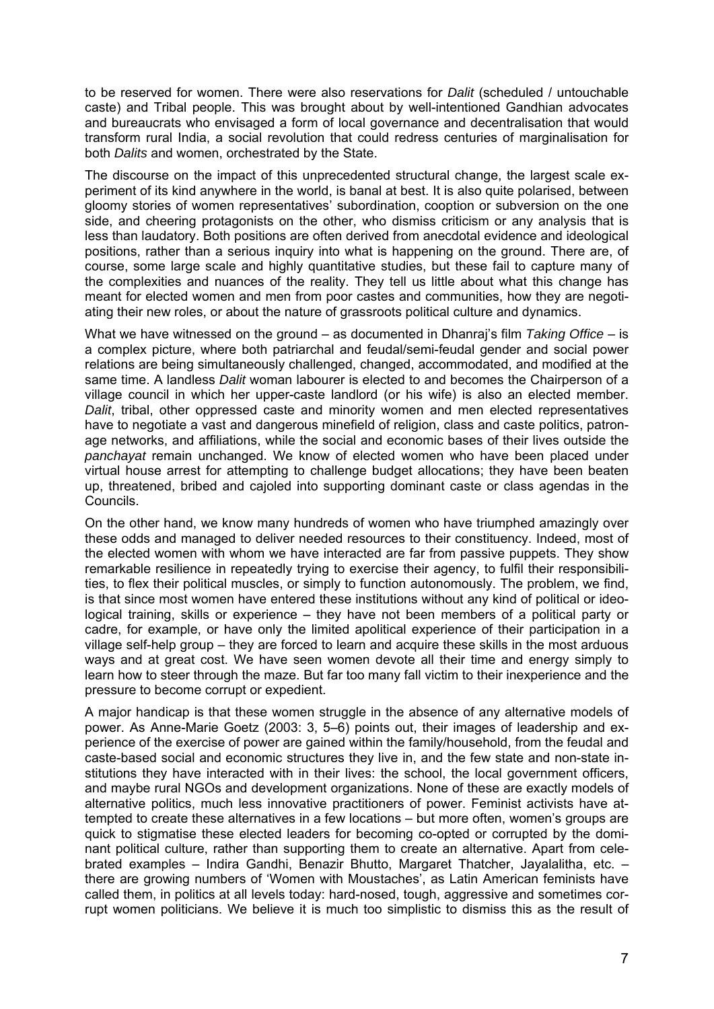to be reserved for women. There were also reservations for *Dalit* (scheduled / untouchable caste) and Tribal people. This was brought about by well-intentioned Gandhian advocates and bureaucrats who envisaged a form of local governance and decentralisation that would transform rural India, a social revolution that could redress centuries of marginalisation for both *Dalits* and women, orchestrated by the State.

The discourse on the impact of this unprecedented structural change, the largest scale experiment of its kind anywhere in the world, is banal at best. It is also quite polarised, between gloomy stories of women representatives' subordination, cooption or subversion on the one side, and cheering protagonists on the other, who dismiss criticism or any analysis that is less than laudatory. Both positions are often derived from anecdotal evidence and ideological positions, rather than a serious inquiry into what is happening on the ground. There are, of course, some large scale and highly quantitative studies, but these fail to capture many of the complexities and nuances of the reality. They tell us little about what this change has meant for elected women and men from poor castes and communities, how they are negotiating their new roles, or about the nature of grassroots political culture and dynamics.

What we have witnessed on the ground – as documented in Dhanraj's film *Taking Office* – is a complex picture, where both patriarchal and feudal/semi-feudal gender and social power relations are being simultaneously challenged, changed, accommodated, and modified at the same time. A landless *Dalit* woman labourer is elected to and becomes the Chairperson of a village council in which her upper-caste landlord (or his wife) is also an elected member. *Dalit*, tribal, other oppressed caste and minority women and men elected representatives have to negotiate a vast and dangerous minefield of religion, class and caste politics, patronage networks, and affiliations, while the social and economic bases of their lives outside the *panchayat* remain unchanged. We know of elected women who have been placed under virtual house arrest for attempting to challenge budget allocations; they have been beaten up, threatened, bribed and cajoled into supporting dominant caste or class agendas in the Councils.

On the other hand, we know many hundreds of women who have triumphed amazingly over these odds and managed to deliver needed resources to their constituency. Indeed, most of the elected women with whom we have interacted are far from passive puppets. They show remarkable resilience in repeatedly trying to exercise their agency, to fulfil their responsibilities, to flex their political muscles, or simply to function autonomously. The problem, we find, is that since most women have entered these institutions without any kind of political or ideological training, skills or experience – they have not been members of a political party or cadre, for example, or have only the limited apolitical experience of their participation in a village self-help group – they are forced to learn and acquire these skills in the most arduous ways and at great cost. We have seen women devote all their time and energy simply to learn how to steer through the maze. But far too many fall victim to their inexperience and the pressure to become corrupt or expedient.

A major handicap is that these women struggle in the absence of any alternative models of power. As Anne-Marie Goetz (2003: 3, 5–6) points out, their images of leadership and experience of the exercise of power are gained within the family/household, from the feudal and caste-based social and economic structures they live in, and the few state and non-state institutions they have interacted with in their lives: the school, the local government officers, and maybe rural NGOs and development organizations. None of these are exactly models of alternative politics, much less innovative practitioners of power. Feminist activists have attempted to create these alternatives in a few locations – but more often, women's groups are quick to stigmatise these elected leaders for becoming co-opted or corrupted by the dominant political culture, rather than supporting them to create an alternative. Apart from celebrated examples – Indira Gandhi, Benazir Bhutto, Margaret Thatcher, Jayalalitha, etc. – there are growing numbers of 'Women with Moustaches', as Latin American feminists have called them, in politics at all levels today: hard-nosed, tough, aggressive and sometimes corrupt women politicians. We believe it is much too simplistic to dismiss this as the result of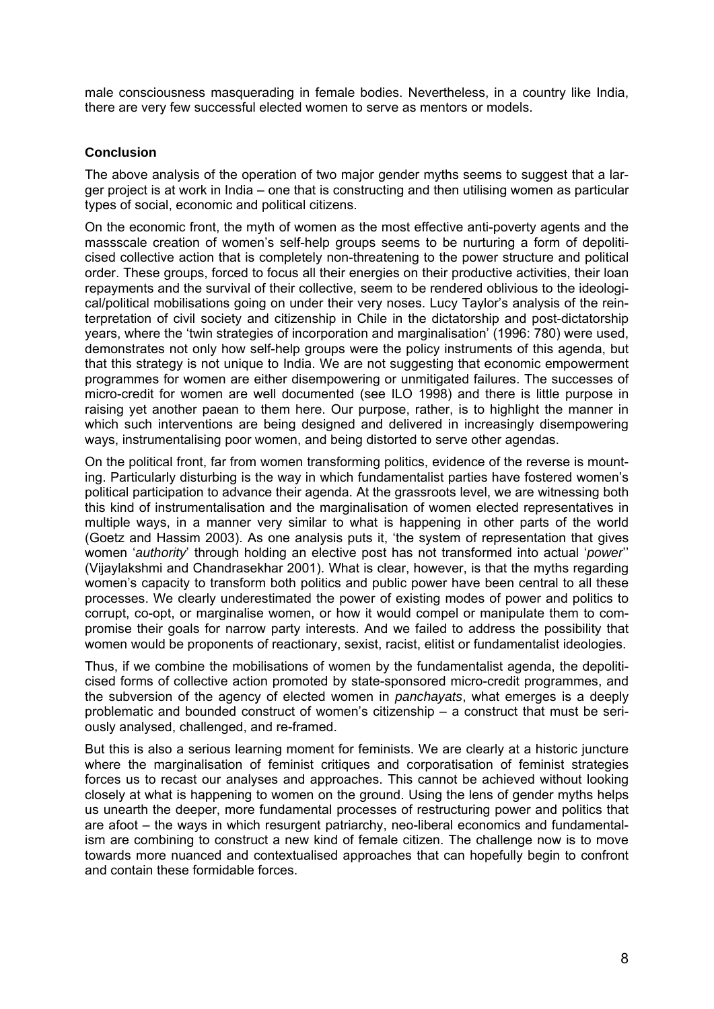male consciousness masquerading in female bodies. Nevertheless, in a country like India, there are very few successful elected women to serve as mentors or models.

#### **Conclusion**

The above analysis of the operation of two major gender myths seems to suggest that a larger project is at work in India – one that is constructing and then utilising women as particular types of social, economic and political citizens.

On the economic front, the myth of women as the most effective anti-poverty agents and the massscale creation of women's self-help groups seems to be nurturing a form of depoliticised collective action that is completely non-threatening to the power structure and political order. These groups, forced to focus all their energies on their productive activities, their loan repayments and the survival of their collective, seem to be rendered oblivious to the ideological/political mobilisations going on under their very noses. Lucy Taylor's analysis of the reinterpretation of civil society and citizenship in Chile in the dictatorship and post-dictatorship years, where the 'twin strategies of incorporation and marginalisation' (1996: 780) were used, demonstrates not only how self-help groups were the policy instruments of this agenda, but that this strategy is not unique to India. We are not suggesting that economic empowerment programmes for women are either disempowering or unmitigated failures. The successes of micro-credit for women are well documented (see ILO 1998) and there is little purpose in raising yet another paean to them here. Our purpose, rather, is to highlight the manner in which such interventions are being designed and delivered in increasingly disempowering ways, instrumentalising poor women, and being distorted to serve other agendas.

On the political front, far from women transforming politics, evidence of the reverse is mounting. Particularly disturbing is the way in which fundamentalist parties have fostered women's political participation to advance their agenda. At the grassroots level, we are witnessing both this kind of instrumentalisation and the marginalisation of women elected representatives in multiple ways, in a manner very similar to what is happening in other parts of the world (Goetz and Hassim 2003). As one analysis puts it, 'the system of representation that gives women '*authority*' through holding an elective post has not transformed into actual '*power*'' (Vijaylakshmi and Chandrasekhar 2001). What is clear, however, is that the myths regarding women's capacity to transform both politics and public power have been central to all these processes. We clearly underestimated the power of existing modes of power and politics to corrupt, co-opt, or marginalise women, or how it would compel or manipulate them to compromise their goals for narrow party interests. And we failed to address the possibility that women would be proponents of reactionary, sexist, racist, elitist or fundamentalist ideologies.

Thus, if we combine the mobilisations of women by the fundamentalist agenda, the depoliticised forms of collective action promoted by state-sponsored micro-credit programmes, and the subversion of the agency of elected women in *panchayats*, what emerges is a deeply problematic and bounded construct of women's citizenship – a construct that must be seriously analysed, challenged, and re-framed.

But this is also a serious learning moment for feminists. We are clearly at a historic juncture where the marginalisation of feminist critiques and corporatisation of feminist strategies forces us to recast our analyses and approaches. This cannot be achieved without looking closely at what is happening to women on the ground. Using the lens of gender myths helps us unearth the deeper, more fundamental processes of restructuring power and politics that are afoot – the ways in which resurgent patriarchy, neo-liberal economics and fundamentalism are combining to construct a new kind of female citizen. The challenge now is to move towards more nuanced and contextualised approaches that can hopefully begin to confront and contain these formidable forces.